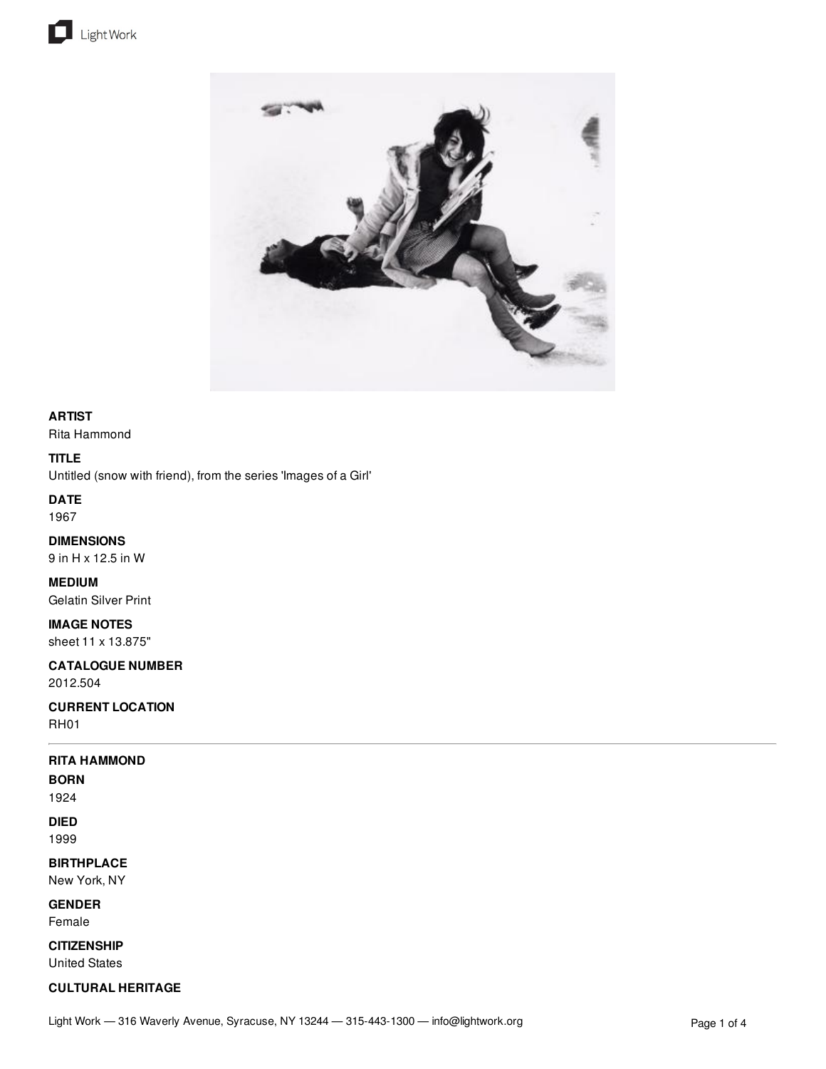



## **ARTIST**

Rita Hammond

### **TITLE**

Untitled (snow with friend), from the series 'Images of a Girl'

## **DATE**

1967

## **DIMENSIONS**

9 in H x 12.5 in W

### **MEDIUM**

Gelatin Silver Print

### **IMAGE NOTES**

sheet 11 x 13.875"

## **CATALOGUE NUMBER**

2012.504

### **CURRENT LOCATION** RH01

## **RITA HAMMOND**

**BORN**

# 1924

**DIED** 1999

### **BIRTHPLACE**

New York, NY

### **GENDER**

Female

### **CITIZENSHIP**

United States

### **CULTURAL HERITAGE**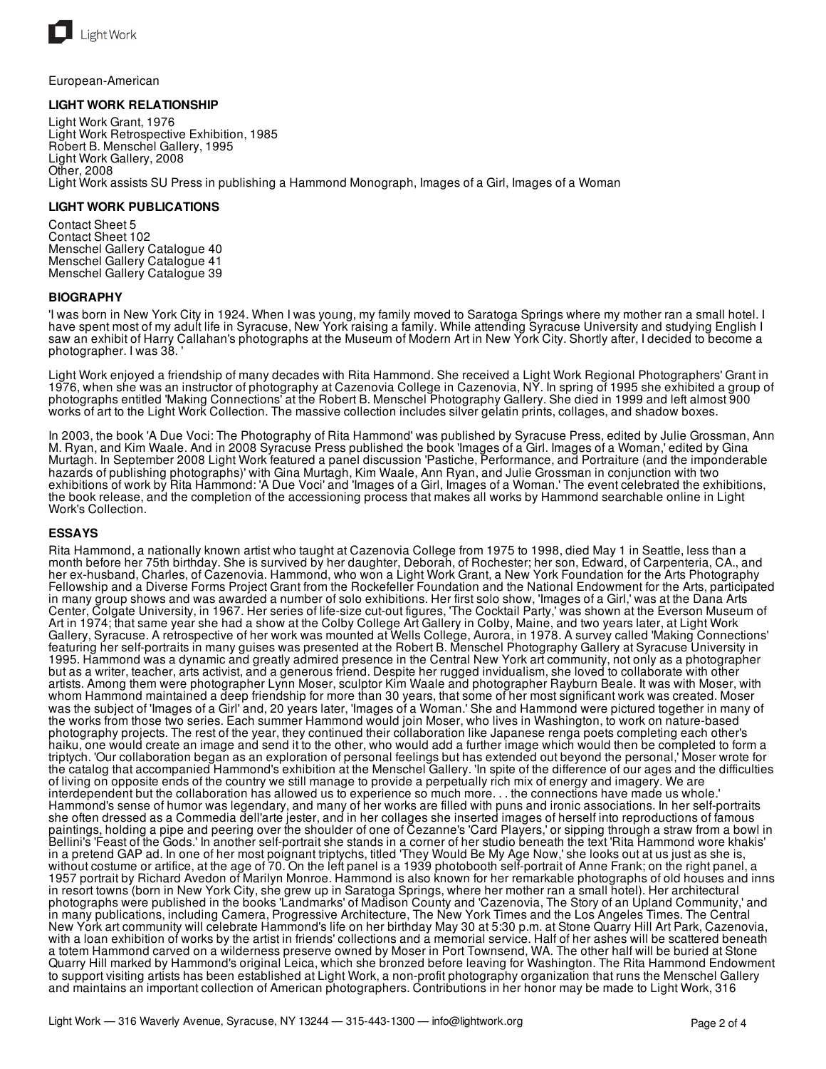

European-American

### **LIGHT WORK RELATIONSHIP**

Light Work Grant, 1976 Light Work Retrospective Exhibition, 1985 Robert B. Menschel Gallery, 1995 Light Work Gallery, 2008 Other, 2008 Light Work assists SU Press in publishing a Hammond Monograph, Images of a Girl, Images of a Woman

### **LIGHT WORK PUBLICATIONS**

Contact Sheet 5 Contact Sheet 102 Menschel Gallery Catalogue 40 Menschel Gallery Catalogue 41 Menschel Gallery Catalogue 39

### **BIOGRAPHY**

'I was born in New York City in 1924. When I was young, my family moved to Saratoga Springs where my mother ran a small hotel. I have spent most of my adult life in Syracuse, New York raising a family. While attending Syracuse University and studying English I saw an exhibit of Harry Callahan's photographs at the Museum of Modern Art in New York City. Shortly after, I decided to become a photographer. I was 38. '

Light Work enjoyed a friendship of many decades with Rita Hammond. She received a Light Work Regional Photographers' Grant in 1976, when she was an instructor of photography at Cazenovia College in Cazenovia, NY. In spring of 1995 she exhibited a group of photographs entitled 'Making Connections' at the Robert B. Menschel Photography Gallery. She died in 1999 and left almost 900 works of art to the Light Work Collection. The massive collection includes silver gelatin prints, collages, and shadow boxes.

In 2003, the book 'A Due Voci: The Photography of Rita Hammond' was published by Syracuse Press, edited by Julie Grossman, Ann M. Ryan, and Kim Waale. And in 2008 Syracuse Press published the book 'Images of a Girl. Images of a Woman,' edited by Gina Murtagh. In September 2008 Light Work featured a panel discussion 'Pastiche, Performance, and Portraiture (and the imponderable hazards of publishing photographs)' with Gina Murtagh, Kim Waale, Ann Ryan, and Julie Grossman in conjunction with two exhibitions of work by Rita Hammond: 'A Due Voci' and 'Images of a Girl, Images of a Woman.' The event celebrated the exhibitions, the book release, and the completion of the accessioning process that makes all works by Hammond searchable online in Light Work's Collection.

### **ESSAYS**

Rita Hammond, a nationally known artist who taught at Cazenovia College from 1975 to 1998, died May 1 in Seattle, less than a month before her 75th birthday. She is survived by her daughter, Deborah, of Rochester; her son, Edward, of Carpenteria, CA., and her ex-husband, Charles, of Cazenovia. Hammond, who won a Light Work Grant, a New York Foundation for the Arts Photography Fellowship and a Diverse Forms Project Grant from the Rockefeller Foundation and the National Endowment for the Arts, participated in many group shows and was awarded a number of solo exhibitions. Her first solo show, 'Images of a Girl,' was at the Dana Arts Center, Colgate University, in 1967. Her series of life-size cut-out figures, 'The Cocktail Party,' was shown at the Everson Museum of Art in 1974; that same year she had a show at the Colby College Art Gallery in Colby, Maine, and two years later, at Light Work Gallery, Syracuse. A retrospective of her work was mounted at Wells College, Aurora, in 1978. A survey called 'Making Connections' featuring her self-portraits in many guises was presented at the Robert B. Menschel Photography Gallery at Syracuse University in 1995. Hammond was a dynamic and greatly admired presence in the Central New York art community, not only as a photographer but as a writer, teacher, arts activist, and a generous friend. Despite her rugged invidualism, she loved to collaborate with other artists. Among them were photographer Lynn Moser, sculptor Kim Waale and photographer Rayburn Beale. It was with Moser, with whom Hammond maintained a deep friendship for more than 30 years, that some of her most significant work was created. Moser was the subject of 'Images of a Girl' and, 20 years later, 'Images of a Woman.' She and Hammond were pictured together in many of the works from those two series. Each summer Hammond would join Moser, who lives in Washington, to work on nature-based photography projects. The rest of the year, they continued their collaboration like Japanese renga poets completing each other's haiku, one would create an image and send it to the other, who would add a further image which would then be completed to form a triptych. 'Our collaboration began as an exploration of personal feelings but has extended out beyond the personal,' Moser wrote for the catalog that accompanied Hammond's exhibition at the Menschel Gallery. 'In spite of the difference of our ages and the difficulties of living on opposite ends of the country we still manage to provide a perpetually rich mix of energy and imagery. We are interdependent but the collaboration has allowed us to experience so much more. . . the connections have made us whole.' Hammond's sense of humor was legendary, and many of her works are filled with puns and ironic associations. In her self-portraits she often dressed as a Commedia dell'arte jester, and in her collages she inserted images of herself into reproductions of famous paintings, holding a pipe and peering over the shoulder of one of Cezanne's 'Card Players,' or sipping through a straw from a bowl in Bellini's 'Feast of the Gods.' In another self-portrait she stands in a corner of her studio beneath the text 'Rita Hammond wore khakis' in a pretend GAP ad. In one of her most poignant triptychs, titled 'They Would Be My Age Now,' she looks out at us just as she is, without costume or artifice, at the age of 70. On the left panel is a 1939 photobooth self-portrait of Anne Frank; on the right panel, a 1957 portrait by Richard Avedon of Marilyn Monroe. Hammond is also known for her remarkable photographs of old houses and inns in resort towns (born in New York City, she grew up in Saratoga Springs, where her mother ran a small hotel). Her architectural photographs were published in the books 'Landmarks' of Madison County and 'Cazenovia, The Story of an Upland Community,' and in many publications, including Camera, Progressive Architecture, The New York Times and the Los Angeles Times. The Central New York art community will celebrate Hammond's life on her birthday May 30 at 5:30 p.m. at Stone Quarry Hill Art Park, Cazenovia, with a loan exhibition of works by the artist in friends' collections and a memorial service. Half of her ashes will be scattered beneath a totem Hammond carved on a wilderness preserve owned by Moser in Port Townsend, WA. The other half will be buried at Stone Quarry Hill marked by Hammond's original Leica, which she bronzed before leaving for Washington. The Rita Hammond Endowment to support visiting artists has been established at Light Work, a non-profit photography organization that runs the Menschel Gallery and maintains an important collection of American photographers. Contributions in her honor may be made to Light Work, 316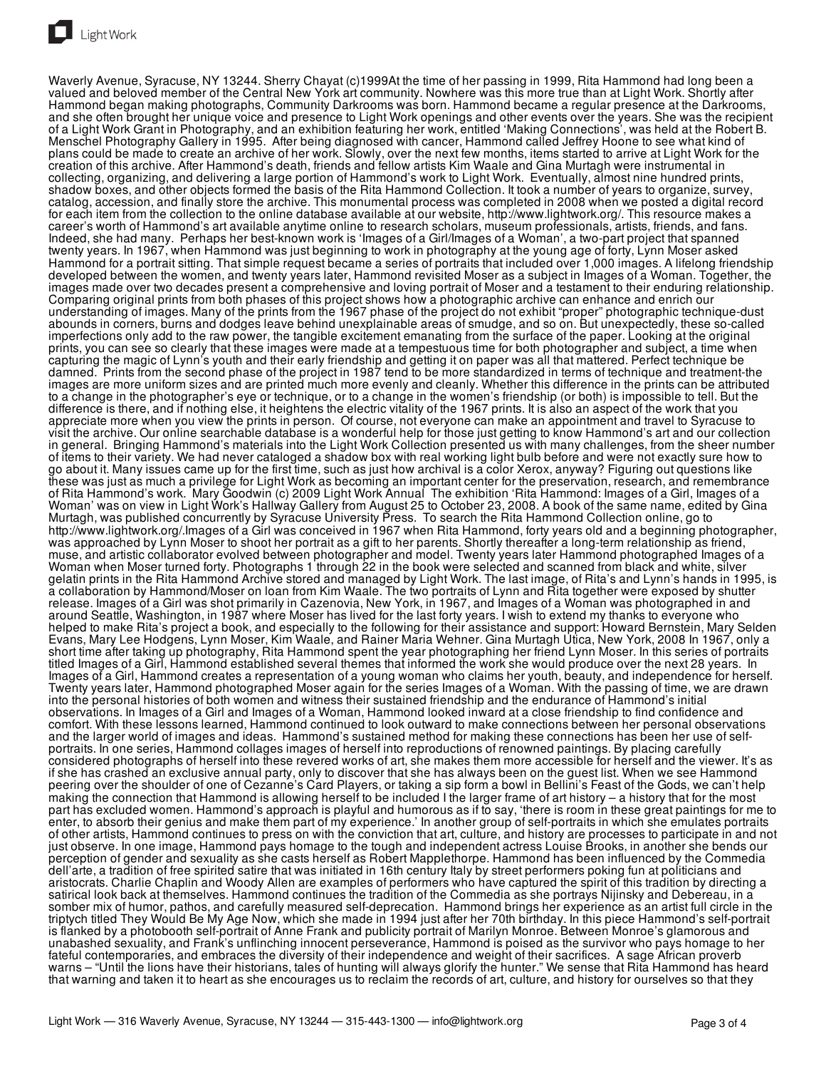

Light Work

Waverly Avenue, Syracuse, NY 13244. Sherry Chayat (c)1999At the time of her passing in 1999, Rita Hammond had long been a valued and beloved member of the Central New York art community. Nowhere was this more true than at Light Work. Shortly after Hammond began making photographs, Community Darkrooms was born. Hammond became a regular presence at the Darkrooms, and she often brought her unique voice and presence to Light Work openings and other events over the years. She was the recipient of a Light Work Grant in Photography, and an exhibition featuring her work, entitled 'Making Connections', was held at the Robert B. Menschel Photography Gallery in 1995. After being diagnosed with cancer, Hammond called Jeffrey Hoone to see what kind of plans could be made to create an archive of her work. Slowly, over the next few months, items started to arrive at Light Work for the creation of this archive. After Hammond's death, friends and fellow artists Kim Waale and Gina Murtagh were instrumental in collecting, organizing, and delivering a large portion of Hammond's work to Light Work. Eventually, almost nine hundred prints, shadow boxes, and other objects formed the basis of the Rita Hammond Collection. It took a number of years to organize, survey, catalog, accession, and finally store the archive. This monumental process was completed in 2008 when we posted a digital record for each item from the collection to the online database available at our website, http://www.lightwork.org/. This resource makes a career's worth of Hammond's art available anytime online to research scholars, museum professionals, artists, friends, and fans. Indeed, she had many. Perhaps her best-known work is 'Images of a Girl/Images of a Woman', a two-part project that spanned twenty years. In 1967, when Hammond was just beginning to work in photography at the young age of forty, Lynn Moser asked Hammond for a portrait sitting. That simple request became a series of portraits that included over 1,000 images. A lifelong friendship developed between the women, and twenty years later, Hammond revisited Moser as a subject in Images of a Woman. Together, the images made over two decades present a comprehensive and loving portrait of Moser and a testament to their enduring relationship. Comparing original prints from both phases of this project shows how a photographic archive can enhance and enrich our understanding of images. Many of the prints from the 1967 phase of the project do not exhibit "proper" photographic technique-dust abounds in corners, burns and dodges leave behind unexplainable areas of smudge, and so on. But unexpectedly, these so-called imperfections only add to the raw power, the tangible excitement emanating from the surface of the paper. Looking at the original prints, you can see so clearly that these images were made at a tempestuous time for both photographer and subject, a time when capturing the magic of Lynn's youth and their early friendship and getting it on paper was all that mattered. Perfect technique be damned. Prints from the second phase of the project in 1987 tend to be more standardized in terms of technique and treatment-the images are more uniform sizes and are printed much more evenly and cleanly. Whether this difference in the prints can be attributed to a change in the photographer's eye or technique, or to a change in the women's friendship (or both) is impossible to tell. But the difference is there, and if nothing else, it heightens the electric vitality of the 1967 prints. It is also an aspect of the work that you appreciate more when you view the prints in person. Of course, not everyone can make an appointment and travel to Syracuse to visit the archive. Our online searchable database is a wonderful help for those just getting to know Hammond's art and our collection in general. Bringing Hammond's materials into the Light Work Collection presented us with many challenges, from the sheer number of items to their variety. We had never cataloged a shadow box with real working light bulb before and were not exactly sure how to go about it. Many issues came up for the first time, such as just how archival is a color Xerox, anyway? Figuring out questions like these was just as much a privilege for Light Work as becoming an important center for the preservation, research, and remembrance of Rita Hammond's work. Mary Goodwin (c) 2009 Light Work Annual The exhibition 'Rita Hammond: Images of a Girl, Images of a Woman' was on view in Light Work's Hallway Gallery from August 25 to October 23, 2008. A book of the same name, edited by Gina Murtagh, was published concurrently by Syracuse University Press. To search the Rita Hammond Collection online, go to http://www.lightwork.org/.Images of a Girl was conceived in 1967 when Rita Hammond, forty years old and a beginning photographer, was approached by Lynn Moser to shoot her portrait as a gift to her parents. Shortly thereafter a long-term relationship as friend, muse, and artistic collaborator evolved between photographer and model. Twenty years later Hammond photographed Images of a Woman when Moser turned forty. Photographs 1 through 22 in the book were selected and scanned from black and white, silver gelatin prints in the Rita Hammond Archive stored and managed by Light Work. The last image, of Rita's and Lynn's hands in 1995, is a collaboration by Hammond/Moser on loan from Kim Waale. The two portraits of Lynn and Rita together were exposed by shutter release. Images of a Girl was shot primarily in Cazenovia, New York, in 1967, and Images of a Woman was photographed in and around Seattle, Washington, in 1987 where Moser has lived for the last forty years. I wish to extend my thanks to everyone who helped to make Rita's project a book, and especially to the following for their assistance and support: Howard Bernstein, Mary Selden Evans, Mary Lee Hodgens, Lynn Moser, Kim Waale, and Rainer Maria Wehner. Gina Murtagh Utica, New York, 2008 In 1967, only a short time after taking up photography, Rita Hammond spent the year photographing her friend Lynn Moser. In this series of portraits titled Images of a Girl, Hammond established several themes that informed the work she would produce over the next 28 years. In Images of a Girl, Hammond creates a representation of a young woman who claims her youth, beauty, and independence for herself. Twenty years later, Hammond photographed Moser again for the series Images of a Woman. With the passing of time, we are drawn into the personal histories of both women and witness their sustained friendship and the endurance of Hammond's initial observations. In Images of a Girl and Images of a Woman, Hammond looked inward at a close friendship to find confidence and comfort. With these lessons learned, Hammond continued to look outward to make connections between her personal observations and the larger world of images and ideas. Hammond's sustained method for making these connections has been her use of selfportraits. In one series, Hammond collages images of herself into reproductions of renowned paintings. By placing carefully considered photographs of herself into these revered works of art, she makes them more accessible for herself and the viewer. It's as if she has crashed an exclusive annual party, only to discover that she has always been on the guest list. When we see Hammond peering over the shoulder of one of Cezanne's Card Players, or taking a sip form a bowl in Bellini's Feast of the Gods, we can't help making the connection that Hammond is allowing herself to be included I the larger frame of art history – a history that for the most part has excluded women. Hammond's approach is playful and humorous as if to say, 'there is room in these great paintings for me to enter, to absorb their genius and make them part of my experience.' In another group of self-portraits in which she emulates portraits of other artists, Hammond continues to press on with the conviction that art, culture, and history are processes to participate in and not just observe. In one image, Hammond pays homage to the tough and independent actress Louise Brooks, in another she bends our perception of gender and sexuality as she casts herself as Robert Mapplethorpe. Hammond has been influenced by the Commedia dell'arte, a tradition of free spirited satire that was initiated in 16th century Italy by street performers poking fun at politicians and aristocrats. Charlie Chaplin and Woody Allen are examples of performers who have captured the spirit of this tradition by directing a satirical look back at themselves. Hammond continues the tradition of the Commedia as she portrays Nijinsky and Debereau, in a somber mix of humor, pathos, and carefully measured self-deprecation. Hammond brings her experience as an artist full circle in the triptych titled They Would Be My Age Now, which she made in 1994 just after her 70th birthday. In this piece Hammond's self-portrait is flanked by a photobooth self-portrait of Anne Frank and publicity portrait of Marilyn Monroe. Between Monroe's glamorous and unabashed sexuality, and Frank's unflinching innocent perseverance, Hammond is poised as the survivor who pays homage to her fateful contemporaries, and embraces the diversity of their independence and weight of their sacrifices. A sage African proverb warns – "Until the lions have their historians, tales of hunting will always glorify the hunter." We sense that Rita Hammond has heard that warning and taken it to heart as she encourages us to reclaim the records of art, culture, and history for ourselves so that they